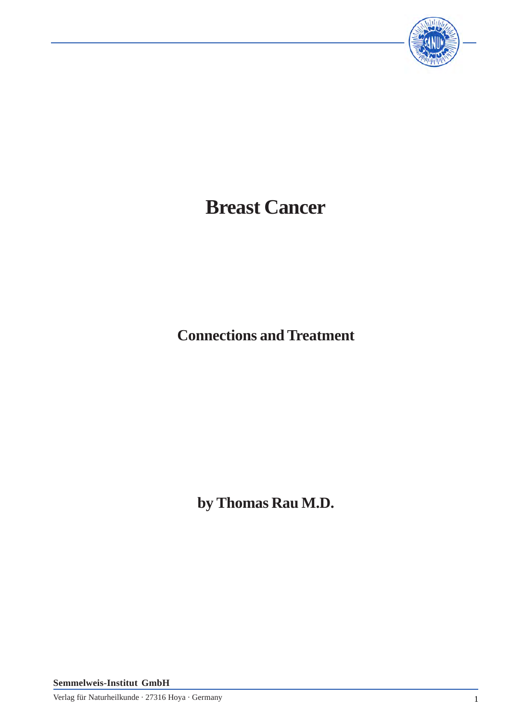

# **Breast Cancer**

**Connections and Treatment**

**by Thomas Rau M.D.**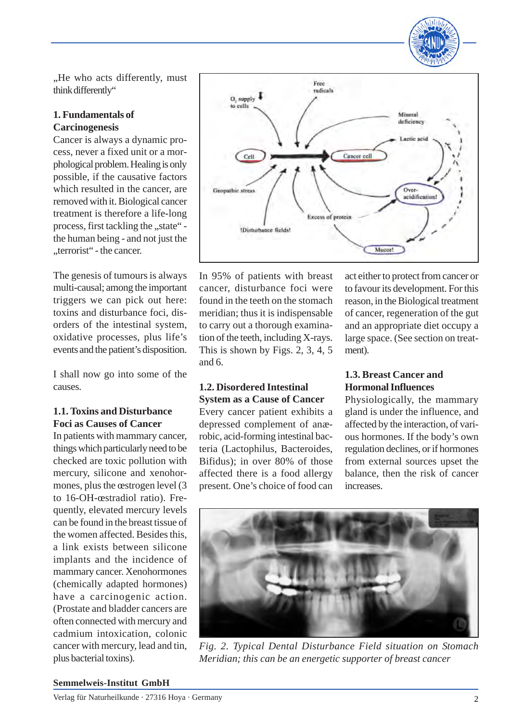

., He who acts differently, must think differently"

### **1. Fundamentals of Carcinogenesis**

Cancer is always a dynamic process, never a fixed unit or a morphological problem. Healing is only possible, if the causative factors which resulted in the cancer, are removed with it. Biological cancer treatment is therefore a life-long process, first tackling the "state" the human being - and not just the "terrorist" - the cancer.

The genesis of tumours is always multi-causal; among the important triggers we can pick out here: toxins and disturbance foci, disorders of the intestinal system, oxidative processes, plus life's events and the patient's disposition.

I shall now go into some of the causes.

### **1.1. Toxins and Disturbance Foci as Causes of Cancer**

In patients with mammary cancer, things which particularly need to be checked are toxic pollution with mercury, silicone and xenohormones, plus the œstrogen level (3 to 16-OH-œstradiol ratio). Frequently, elevated mercury levels can be found in the breast tissue of the women affected. Besides this, a link exists between silicone implants and the incidence of mammary cancer. Xenohormones (chemically adapted hormones) have a carcinogenic action. (Prostate and bladder cancers are often connected with mercury and cadmium intoxication, colonic cancer with mercury, lead and tin, plus bacterial toxins).



In 95% of patients with breast cancer, disturbance foci were found in the teeth on the stomach meridian; thus it is indispensable to carry out a thorough examination of the teeth, including X-rays. This is shown by Figs. 2, 3, 4, 5 and 6.

### **1.2. Disordered Intestinal System as a Cause of Cancer**

Every cancer patient exhibits a depressed complement of anærobic, acid-forming intestinal bacteria (Lactophilus, Bacteroides, Bifidus); in over 80% of those affected there is a food allergy present. One's choice of food can

act either to protect from cancer or to favour its development. For this reason, in the Biological treatment of cancer, regeneration of the gut and an appropriate diet occupy a large space. (See section on treatment).

# **1.3. Breast Cancer and Hormonal Influences**

Physiologically, the mammary gland is under the influence, and affected by the interaction, of various hormones. If the body's own regulation declines, or if hormones from external sources upset the balance, then the risk of cancer increases.



*Fig. 2. Typical Dental Disturbance Field situation on Stomach Meridian; this can be an energetic supporter of breast cancer*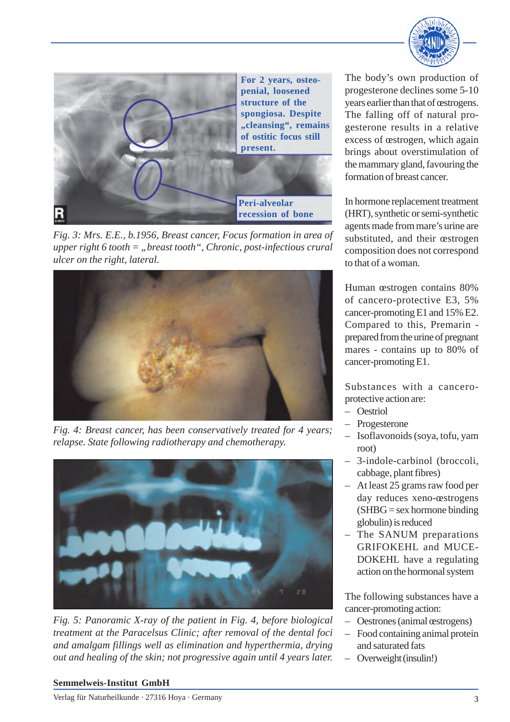



*Fig. 3: Mrs. E.E., b.1956, Breast cancer, Focus formation in area of upper right 6 tooth = "breast tooth", Chronic, post-infectious crural ulcer on the right, lateral.*



*Fig. 4: Breast cancer, has been conservatively treated for 4 years; relapse. State following radiotherapy and chemotherapy.*



*Fig. 5: Panoramic X-ray of the patient in Fig. 4, before biological treatment at the Paracelsus Clinic; after removal of the dental foci and amalgam fillings well as elimination and hyperthermia, drying out and healing of the skin; not progressive again until 4 years later.*

The body's own production of progesterone declines some 5-10 years earlier than that of œstrogens. The falling off of natural progesterone results in a relative excess of œstrogen, which again brings about overstimulation of the mammary gland, favouring the formation of breast cancer.

In hormone replacement treatment (HRT), synthetic or semi-synthetic agents made from mare's urine are substituted, and their œstrogen composition does not correspond to that of a woman.

Human œstrogen contains 80% of cancero-protective E3, 5% cancer-promoting E1 and 15% E2. Compared to this, Premarin prepared from the urine of pregnant mares - contains up to 80% of cancer-promoting E1.

Substances with a canceroprotective action are:

- Oestriol
- Progesterone
- Isoflavonoids (soya, tofu, yam root)
- 3-indole-carbinol (broccoli, cabbage, plant fibres)
- At least 25 grams raw food per day reduces xeno-œstrogens  $(SHBG = sex$  hormone binding globulin) is reduced
- The SANUM preparations GRIFOKEHL and MUCE-DOKEHL have a regulating action on the hormonal system

The following substances have a cancer-promoting action:

- Oestrones (animal œstrogens)
- Food containing animal protein and saturated fats
- Overweight (insulin!)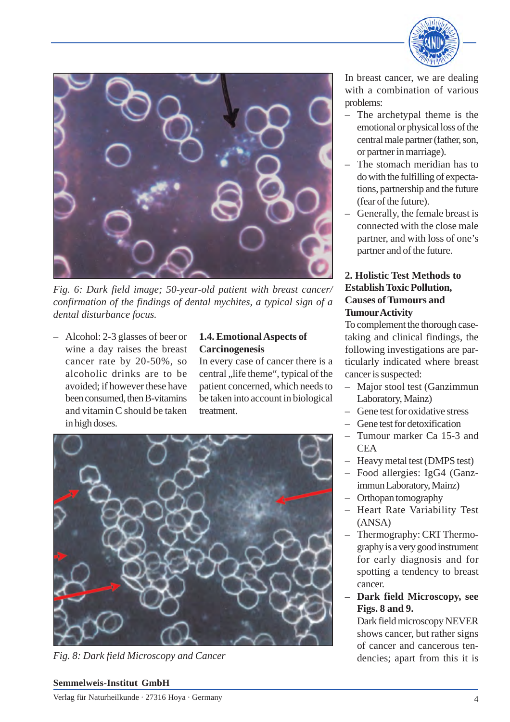



*Fig. 6: Dark field image; 50-year-old patient with breast cancer/ confirmation of the findings of dental mychites, a typical sign of a dental disturbance focus.*

– Alcohol: 2-3 glasses of beer or wine a day raises the breast cancer rate by 20-50%, so alcoholic drinks are to be avoided; if however these have been consumed, then B-vitamins and vitamin C should be taken in high doses.

### **1.4. Emotional Aspects of Carcinogenesis**

In every case of cancer there is a central ,, life theme", typical of the patient concerned, which needs to be taken into account in biological treatment.



*Fig. 8: Dark field Microscopy and Cancer*

In breast cancer, we are dealing with a combination of various problems:

- The archetypal theme is the emotional or physical loss of the central male partner (father, son, or partner in marriage).
- The stomach meridian has to do with the fulfilling of expectations, partnership and the future (fear of the future).
- Generally, the female breast is connected with the close male partner, and with loss of one's partner and of the future.

# **2. Holistic Test Methods to Establish Toxic Pollution, Causes of Tumours and TumourActivity**

To complement the thorough casetaking and clinical findings, the following investigations are particularly indicated where breast cancer is suspected:

- Major stool test (Ganzimmun Laboratory, Mainz)
- Gene test for oxidative stress
- Gene test for detoxification
- Tumour marker Ca 15-3 and **CEA**
- Heavy metal test (DMPS test)
- Food allergies: IgG4 (Ganzimmun Laboratory, Mainz)
- Orthopan tomography
- Heart Rate Variability Test (ANSA)
- Thermography: CRT Thermography is a very good instrument for early diagnosis and for spotting a tendency to breast cancer.
- **– Dark field Microscopy, see Figs. 8 and 9.**

Dark field microscopy NEVER shows cancer, but rather signs of cancer and cancerous tendencies; apart from this it is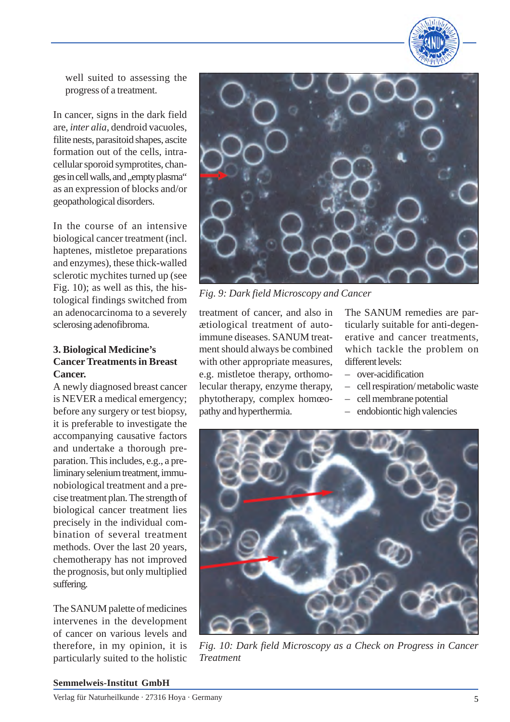

well suited to assessing the progress of a treatment.

In cancer, signs in the dark field are, *inter alia*, dendroid vacuoles, filite nests, parasitoid shapes, ascite formation out of the cells, intracellular sporoid symprotites, changes in cell walls, and ,, empty plasma" as an expression of blocks and/or geopathological disorders.

In the course of an intensive biological cancer treatment (incl. haptenes, mistletoe preparations and enzymes), these thick-walled sclerotic mychites turned up (see Fig. 10); as well as this, the histological findings switched from an adenocarcinoma to a severely sclerosing adenofibroma.

#### **3. Biological Medicine's Cancer Treatments in Breast Cancer.**

A newly diagnosed breast cancer is NEVER a medical emergency; before any surgery or test biopsy, it is preferable to investigate the accompanying causative factors and undertake a thorough preparation. This includes, e.g., a preliminary selenium treatment, immunobiological treatment and a precise treatment plan. The strength of biological cancer treatment lies precisely in the individual combination of several treatment methods. Over the last 20 years, chemotherapy has not improved the prognosis, but only multiplied suffering.

The SANUM palette of medicines intervenes in the development of cancer on various levels and therefore, in my opinion, it is particularly suited to the holistic



*Fig. 9: Dark field Microscopy and Cancer*

treatment of cancer, and also in ætiological treatment of autoimmune diseases. SANUM treatment should always be combined with other appropriate measures, e.g. mistletoe therapy, orthomolecular therapy, enzyme therapy, phytotherapy, complex homœopathy and hyperthermia.

The SANUM remedies are particularly suitable for anti-degenerative and cancer treatments, which tackle the problem on different levels:

- over-acidification
- cell respiration/ metabolic waste
- cell membrane potential
- endobiontic high valencies



*Fig. 10: Dark field Microscopy as a Check on Progress in Cancer Treatment*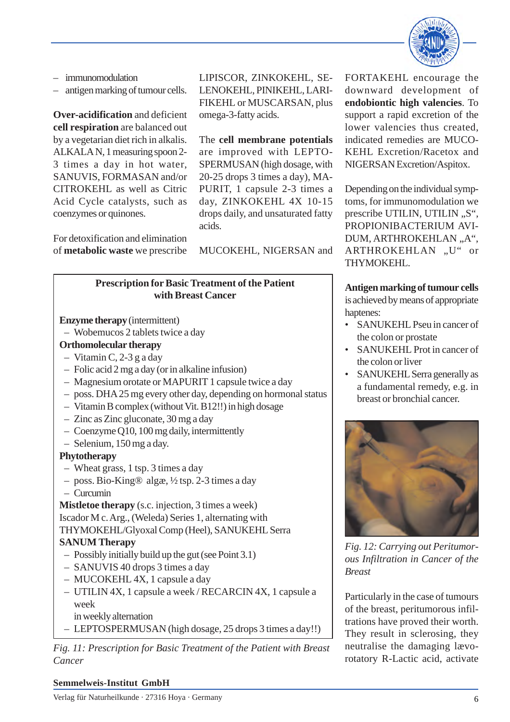

- immunomodulation
- antigen marking of tumour cells.

**Over-acidification** and deficient **cell respiration** are balanced out by a vegetarian diet rich in alkalis. ALKALA N, 1 measuring spoon 2- 3 times a day in hot water, SANUVIS, FORMASAN and/or CITROKEHL as well as Citric Acid Cycle catalysts, such as coenzymes or quinones.

For detoxification and elimination of **metabolic waste** we prescribe LIPISCOR, ZINKOKEHL, SE-LENOKEHL, PINIKEHL, LARI-FIKEHL or MUSCARSAN, plus omega-3-fatty acids.

The **cell membrane potentials** are improved with LEPTO-SPERMUSAN (high dosage, with 20-25 drops 3 times a day), MA-PURIT, 1 capsule 2-3 times a day, ZINKOKEHL 4X 10-15 drops daily, and unsaturated fatty acids.

MUCOKEHL, NIGERSAN and

### **Prescription for Basic Treatment of the Patient with Breast Cancer**

**Enzyme therapy** (intermittent)

- Wobemucos 2 tablets twice a day
- **Orthomolecular therapy**
- Vitamin C, 2-3 g a day
- Folic acid 2 mg a day (or in alkaline infusion)
- Magnesium orotate or MAPURIT 1 capsule twice a day
- poss. DHA 25 mg every other day, depending on hormonal status
- Vitamin B complex (without Vit. B12!!) in high dosage
- Zinc as Zinc gluconate, 30 mg a day
- Coenzyme Q10, 100 mg daily, intermittently
- Selenium, 150 mg a day.

### **Phytotherapy**

- Wheat grass, 1 tsp. 3 times a day
- poss. Bio-King® algæ, ½ tsp. 2-3 times a day
- Curcumin

**Mistletoe therapy** (s.c. injection, 3 times a week) Iscador M c. Arg., (Weleda) Series 1, alternating with THYMOKEHL/Glyoxal Comp (Heel), SANUKEHL Serra **SANUM Therapy**

- Possibly initially build up the gut (see Point 3.1)
- SANUVIS 40 drops 3 times a day
- MUCOKEHL 4X, 1 capsule a day
- UTILIN 4X, 1 capsule a week / RECARCIN 4X, 1 capsule a week
- in weekly alternation
- LEPTOSPERMUSAN (high dosage, 25 drops 3 times a day!!)

*Fig. 11: Prescription for Basic Treatment of the Patient with Breast Cancer*

FORTAKEHL encourage the downward development of **endobiontic high valencies**. To support a rapid excretion of the lower valencies thus created, indicated remedies are MUCO-KEHL Excretion/Racetox and NIGERSAN Excretion/Aspitox.

Depending on the individual symptoms, for immunomodulation we prescribe UTILIN, UTILIN, "S", PROPIONIBACTERIUM AVI-DUM, ARTHROKEHLAN "A", ARTHROKEHLAN "U" or THYMOKEHL.

# **Antigen marking of tumour cells**

is achieved by means of appropriate haptenes:

- SANUKEHL Pseu in cancer of the colon or prostate
- SANUKEHL Prot in cancer of the colon or liver
- SANUKEHL Serra generally as a fundamental remedy, e.g. in breast or bronchial cancer.



*Fig. 12: Carrying out Peritumorous Infiltration in Cancer of the Breast*

Particularly in the case of tumours of the breast, peritumorous infiltrations have proved their worth. They result in sclerosing, they neutralise the damaging lævorotatory R-Lactic acid, activate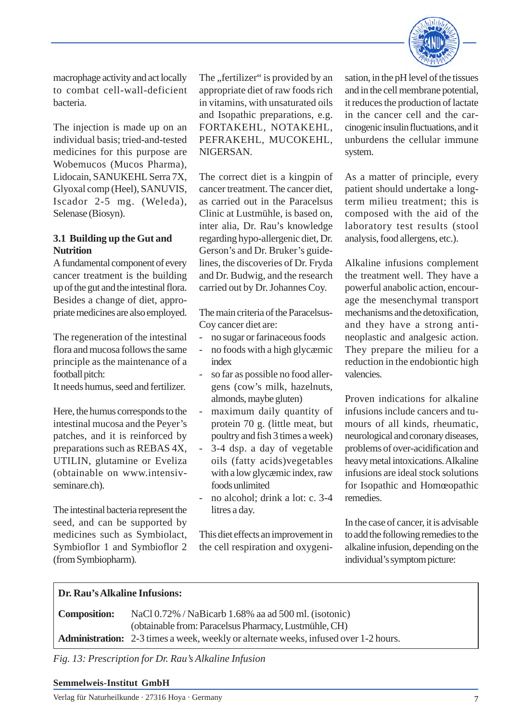

macrophage activity and act locally to combat cell-wall-deficient bacteria.

The injection is made up on an individual basis; tried-and-tested medicines for this purpose are Wobemucos (Mucos Pharma), Lidocain, SANUKEHL Serra 7X, Glyoxal comp (Heel), SANUVIS, Iscador 2-5 mg. (Weleda), Selenase (Biosyn).

#### **3.1 Building up the Gut and Nutrition**

A fundamental component of every cancer treatment is the building up of the gut and the intestinal flora. Besides a change of diet, appropriate medicines are also employed.

The regeneration of the intestinal flora and mucosa follows the same principle as the maintenance of a football pitch:

It needs humus, seed and fertilizer.

Here, the humus corresponds to the intestinal mucosa and the Peyer's patches, and it is reinforced by preparations such as REBAS 4X, UTILIN, glutamine or Eveliza (obtainable on www.intensivseminare.ch).

The intestinal bacteria represent the seed, and can be supported by medicines such as Symbiolact, Symbioflor 1 and Symbioflor 2 (from Symbiopharm).

The "fertilizer" is provided by an appropriate diet of raw foods rich in vitamins, with unsaturated oils and Isopathic preparations, e.g. FORTAKEHL, NOTAKEHL, PEFRAKEHL, MUCOKEHL, NIGERSAN.

The correct diet is a kingpin of cancer treatment. The cancer diet, as carried out in the Paracelsus Clinic at Lustmühle, is based on, inter alia, Dr. Rau's knowledge regarding hypo-allergenic diet, Dr. Gerson's and Dr. Bruker's guidelines, the discoveries of Dr. Fryda and Dr. Budwig, and the research carried out by Dr. Johannes Coy.

The main criteria of the Paracelsus-Coy cancer diet are:

- no sugar or farinaceous foods
- no foods with a high glycæmic index
- so far as possible no food allergens (cow's milk, hazelnuts, almonds, maybe gluten)
- maximum daily quantity of protein 70 g. (little meat, but poultry and fish 3 times a week)
- 3-4 dsp. a day of vegetable oils (fatty acids)vegetables with a low glycæmic index, raw foods unlimited
- no alcohol; drink a lot: c. 3-4 litres a day.

This diet effects an improvement in the cell respiration and oxygenisation, in the pH level of the tissues and in the cell membrane potential, it reduces the production of lactate in the cancer cell and the carcinogenic insulin fluctuations, and it unburdens the cellular immune system.

As a matter of principle, every patient should undertake a longterm milieu treatment; this is composed with the aid of the laboratory test results (stool analysis, food allergens, etc.).

Alkaline infusions complement the treatment well. They have a powerful anabolic action, encourage the mesenchymal transport mechanisms and the detoxification, and they have a strong antineoplastic and analgesic action. They prepare the milieu for a reduction in the endobiontic high valencies.

Proven indications for alkaline infusions include cancers and tumours of all kinds, rheumatic, neurological and coronary diseases, problems of over-acidification and heavy metal intoxications. Alkaline infusions are ideal stock solutions for Isopathic and Homœopathic remedies.

In the case of cancer, it is advisable to add the following remedies to the alkaline infusion, depending on the individual's symptom picture:

#### **Dr. Rau's Alkaline Infusions:**

| <b>Composition:</b> | NaCl 0.72% / NaBicarb 1.68% aa ad 500 ml. (isotonic)                                        |
|---------------------|---------------------------------------------------------------------------------------------|
|                     | (obtainable from: Paracelsus Pharmacy, Lustmühle, CH)                                       |
|                     | <b>Administration:</b> 2-3 times a week, weekly or alternate weeks, infused over 1-2 hours. |

*Fig. 13: Prescription for Dr. Rau's Alkaline Infusion*